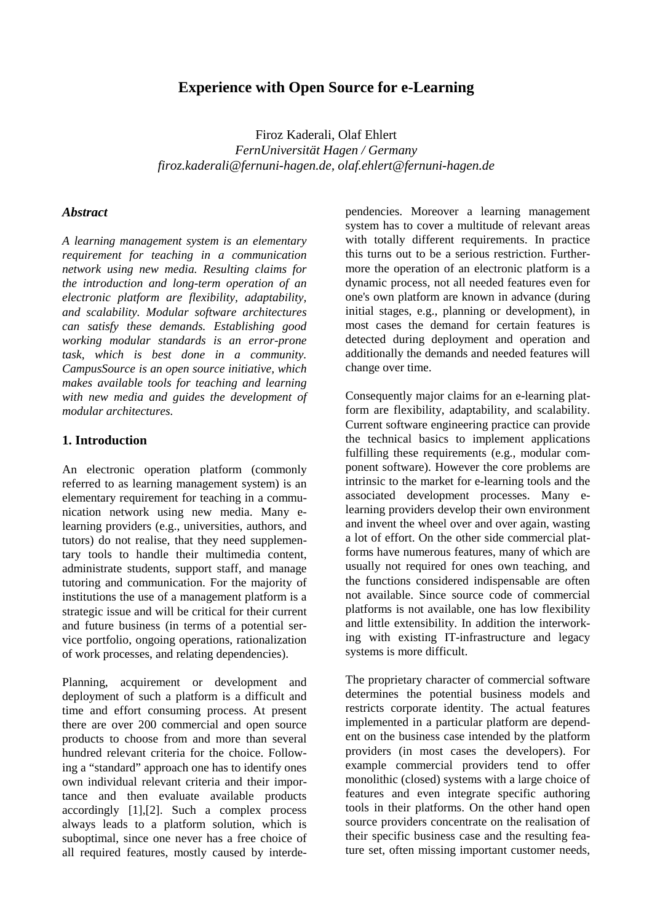# **Experience with Open Source for e-Learning**

Firoz Kaderali, Olaf Ehlert *FernUniversität Hagen / Germany firoz.kaderali@fernuni-hagen.de, olaf.ehlert@fernuni-hagen.de*

#### *Abstract*

*A learning management system is an elementary requirement for teaching in a communication network using new media. Resulting claims for the introduction and long-term operation of an electronic platform are flexibility, adaptability, and scalability. Modular software architectures can satisfy these demands. Establishing good working modular standards is an error-prone task, which is best done in a community. CampusSource is an open source initiative, which makes available tools for teaching and learning with new media and guides the development of modular architectures.* 

#### **1. Introduction**

An electronic operation platform (commonly referred to as learning management system) is an elementary requirement for teaching in a communication network using new media. Many elearning providers (e.g., universities, authors, and tutors) do not realise, that they need supplementary tools to handle their multimedia content, administrate students, support staff, and manage tutoring and communication. For the majority of institutions the use of a management platform is a strategic issue and will be critical for their current and future business (in terms of a potential service portfolio, ongoing operations, rationalization of work processes, and relating dependencies).

Planning, acquirement or development and deployment of such a platform is a difficult and time and effort consuming process. At present there are over 200 commercial and open source products to choose from and more than several hundred relevant criteria for the choice. Following a "standard" approach one has to identify ones own individual relevant criteria and their importance and then evaluate available products accordingly [1],[2]. Such a complex process always leads to a platform solution, which is suboptimal, since one never has a free choice of all required features, mostly caused by interdependencies. Moreover a learning management system has to cover a multitude of relevant areas with totally different requirements. In practice this turns out to be a serious restriction. Furthermore the operation of an electronic platform is a dynamic process, not all needed features even for one's own platform are known in advance (during initial stages, e.g., planning or development), in most cases the demand for certain features is detected during deployment and operation and additionally the demands and needed features will change over time.

Consequently major claims for an e-learning platform are flexibility, adaptability, and scalability. Current software engineering practice can provide the technical basics to implement applications fulfilling these requirements (e.g., modular component software). However the core problems are intrinsic to the market for e-learning tools and the associated development processes. Many elearning providers develop their own environment and invent the wheel over and over again, wasting a lot of effort. On the other side commercial platforms have numerous features, many of which are usually not required for ones own teaching, and the functions considered indispensable are often not available. Since source code of commercial platforms is not available, one has low flexibility and little extensibility. In addition the interworking with existing IT-infrastructure and legacy systems is more difficult.

The proprietary character of commercial software determines the potential business models and restricts corporate identity. The actual features implemented in a particular platform are dependent on the business case intended by the platform providers (in most cases the developers). For example commercial providers tend to offer monolithic (closed) systems with a large choice of features and even integrate specific authoring tools in their platforms. On the other hand open source providers concentrate on the realisation of their specific business case and the resulting feature set, often missing important customer needs,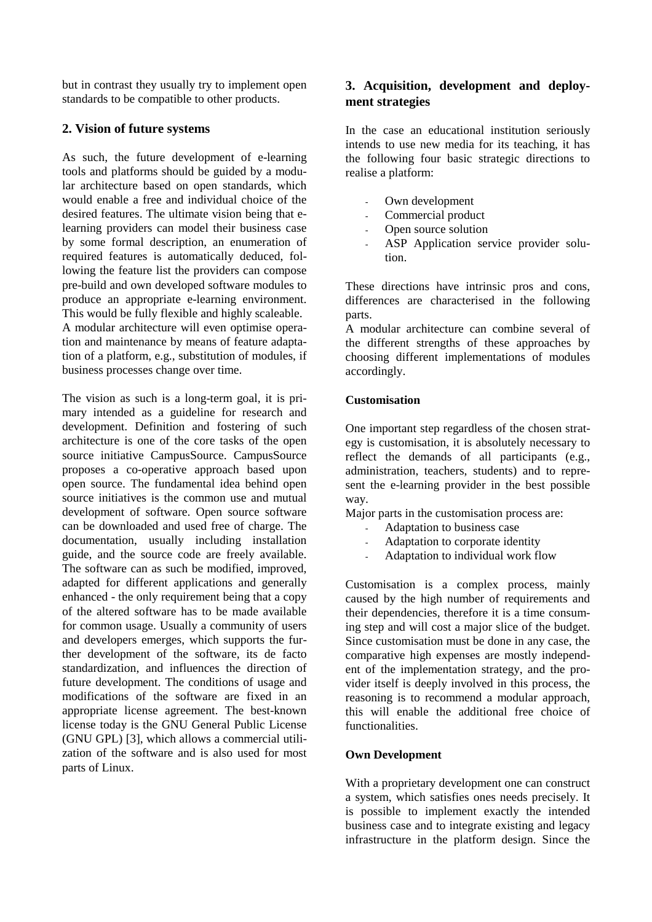but in contrast they usually try to implement open standards to be compatible to other products.

## **2. Vision of future systems**

As such, the future development of e-learning tools and platforms should be guided by a modular architecture based on open standards, which would enable a free and individual choice of the desired features. The ultimate vision being that elearning providers can model their business case by some formal description, an enumeration of required features is automatically deduced, following the feature list the providers can compose pre-build and own developed software modules to produce an appropriate e-learning environment. This would be fully flexible and highly scaleable.

A modular architecture will even optimise operation and maintenance by means of feature adaptation of a platform, e.g., substitution of modules, if business processes change over time.

The vision as such is a long-term goal, it is primary intended as a guideline for research and development. Definition and fostering of such architecture is one of the core tasks of the open source initiative CampusSource. CampusSource proposes a co-operative approach based upon open source. The fundamental idea behind open source initiatives is the common use and mutual development of software. Open source software can be downloaded and used free of charge. The documentation, usually including installation guide, and the source code are freely available. The software can as such be modified, improved, adapted for different applications and generally enhanced - the only requirement being that a copy of the altered software has to be made available for common usage. Usually a community of users and developers emerges, which supports the further development of the software, its de facto standardization, and influences the direction of future development. The conditions of usage and modifications of the software are fixed in an appropriate license agreement. The best-known license today is the GNU General Public License (GNU GPL) [3], which allows a commercial utilization of the software and is also used for most parts of Linux.

## **3. Acquisition, development and deployment strategies**

In the case an educational institution seriously intends to use new media for its teaching, it has the following four basic strategic directions to realise a platform:

- Own development
- Commercial product
- Open source solution
- ASP Application service provider solution.

These directions have intrinsic pros and cons, differences are characterised in the following parts.

A modular architecture can combine several of the different strengths of these approaches by choosing different implementations of modules accordingly.

### **Customisation**

One important step regardless of the chosen strategy is customisation, it is absolutely necessary to reflect the demands of all participants (e.g., administration, teachers, students) and to represent the e-learning provider in the best possible way.

Major parts in the customisation process are:

- Adaptation to business case
- Adaptation to corporate identity
- Adaptation to individual work flow

Customisation is a complex process, mainly caused by the high number of requirements and their dependencies, therefore it is a time consuming step and will cost a major slice of the budget. Since customisation must be done in any case, the comparative high expenses are mostly independent of the implementation strategy, and the provider itself is deeply involved in this process, the reasoning is to recommend a modular approach, this will enable the additional free choice of functionalities.

### **Own Development**

With a proprietary development one can construct a system, which satisfies ones needs precisely. It is possible to implement exactly the intended business case and to integrate existing and legacy infrastructure in the platform design. Since the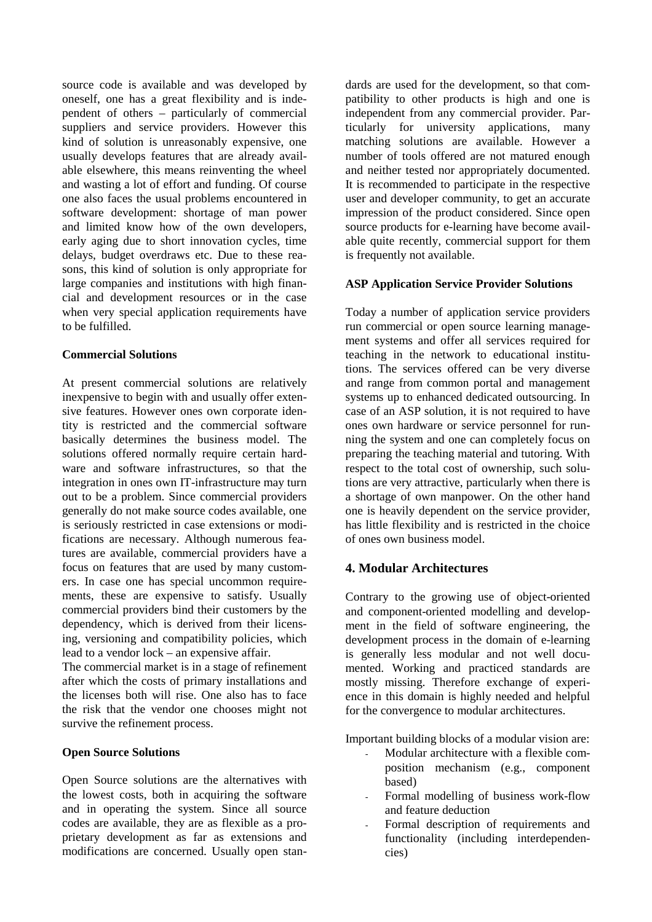source code is available and was developed by oneself, one has a great flexibility and is independent of others – particularly of commercial suppliers and service providers. However this kind of solution is unreasonably expensive, one usually develops features that are already available elsewhere, this means reinventing the wheel and wasting a lot of effort and funding. Of course one also faces the usual problems encountered in software development: shortage of man power and limited know how of the own developers, early aging due to short innovation cycles, time delays, budget overdraws etc. Due to these reasons, this kind of solution is only appropriate for large companies and institutions with high financial and development resources or in the case when very special application requirements have to be fulfilled.

#### **Commercial Solutions**

At present commercial solutions are relatively inexpensive to begin with and usually offer extensive features. However ones own corporate identity is restricted and the commercial software basically determines the business model. The solutions offered normally require certain hardware and software infrastructures, so that the integration in ones own IT-infrastructure may turn out to be a problem. Since commercial providers generally do not make source codes available, one is seriously restricted in case extensions or modifications are necessary. Although numerous features are available, commercial providers have a focus on features that are used by many customers. In case one has special uncommon requirements, these are expensive to satisfy. Usually commercial providers bind their customers by the dependency, which is derived from their licensing, versioning and compatibility policies, which lead to a vendor lock – an expensive affair.

The commercial market is in a stage of refinement after which the costs of primary installations and the licenses both will rise. One also has to face the risk that the vendor one chooses might not survive the refinement process.

#### **Open Source Solutions**

Open Source solutions are the alternatives with the lowest costs, both in acquiring the software and in operating the system. Since all source codes are available, they are as flexible as a proprietary development as far as extensions and modifications are concerned. Usually open standards are used for the development, so that compatibility to other products is high and one is independent from any commercial provider. Particularly for university applications, many matching solutions are available. However a number of tools offered are not matured enough and neither tested nor appropriately documented. It is recommended to participate in the respective user and developer community, to get an accurate impression of the product considered. Since open source products for e-learning have become available quite recently, commercial support for them is frequently not available.

### **ASP Application Service Provider Solutions**

Today a number of application service providers run commercial or open source learning management systems and offer all services required for teaching in the network to educational institutions. The services offered can be very diverse and range from common portal and management systems up to enhanced dedicated outsourcing. In case of an ASP solution, it is not required to have ones own hardware or service personnel for running the system and one can completely focus on preparing the teaching material and tutoring. With respect to the total cost of ownership, such solutions are very attractive, particularly when there is a shortage of own manpower. On the other hand one is heavily dependent on the service provider, has little flexibility and is restricted in the choice of ones own business model.

### **4. Modular Architectures**

Contrary to the growing use of object-oriented and component-oriented modelling and development in the field of software engineering, the development process in the domain of e-learning is generally less modular and not well documented. Working and practiced standards are mostly missing. Therefore exchange of experience in this domain is highly needed and helpful for the convergence to modular architectures.

Important building blocks of a modular vision are:

- Modular architecture with a flexible composition mechanism (e.g., component based)
- Formal modelling of business work-flow and feature deduction
- Formal description of requirements and functionality (including interdependencies)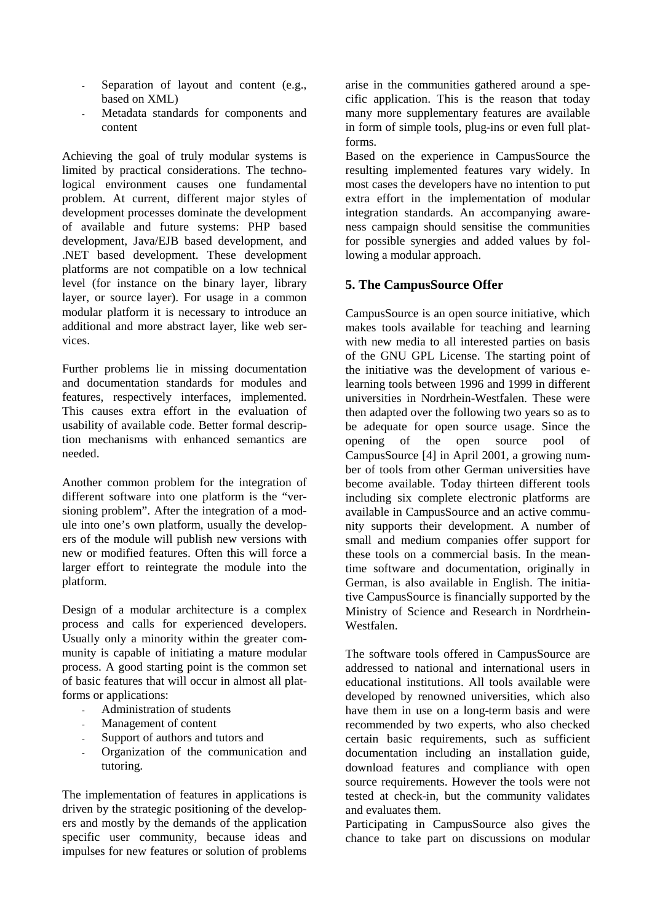- Separation of layout and content (e.g., based on XML)
- Metadata standards for components and content

Achieving the goal of truly modular systems is limited by practical considerations. The technological environment causes one fundamental problem. At current, different major styles of development processes dominate the development of available and future systems: PHP based development, Java/EJB based development, and .NET based development. These development platforms are not compatible on a low technical level (for instance on the binary layer, library layer, or source layer). For usage in a common modular platform it is necessary to introduce an additional and more abstract layer, like web services.

Further problems lie in missing documentation and documentation standards for modules and features, respectively interfaces, implemented. This causes extra effort in the evaluation of usability of available code. Better formal description mechanisms with enhanced semantics are needed.

Another common problem for the integration of different software into one platform is the "versioning problem". After the integration of a module into one's own platform, usually the developers of the module will publish new versions with new or modified features. Often this will force a larger effort to reintegrate the module into the platform.

Design of a modular architecture is a complex process and calls for experienced developers. Usually only a minority within the greater community is capable of initiating a mature modular process. A good starting point is the common set of basic features that will occur in almost all platforms or applications:

- Administration of students
- Management of content
- Support of authors and tutors and
- Organization of the communication and tutoring.

The implementation of features in applications is driven by the strategic positioning of the developers and mostly by the demands of the application specific user community, because ideas and impulses for new features or solution of problems

arise in the communities gathered around a specific application. This is the reason that today many more supplementary features are available in form of simple tools, plug-ins or even full platforms.

Based on the experience in CampusSource the resulting implemented features vary widely. In most cases the developers have no intention to put extra effort in the implementation of modular integration standards. An accompanying awareness campaign should sensitise the communities for possible synergies and added values by following a modular approach.

## **5. The CampusSource Offer**

CampusSource is an open source initiative, which makes tools available for teaching and learning with new media to all interested parties on basis of the GNU GPL License. The starting point of the initiative was the development of various elearning tools between 1996 and 1999 in different universities in Nordrhein-Westfalen. These were then adapted over the following two years so as to be adequate for open source usage. Since the opening of the open source pool of CampusSource [4] in April 2001, a growing number of tools from other German universities have become available. Today thirteen different tools including six complete electronic platforms are available in CampusSource and an active community supports their development. A number of small and medium companies offer support for these tools on a commercial basis. In the meantime software and documentation, originally in German, is also available in English. The initiative CampusSource is financially supported by the Ministry of Science and Research in Nordrhein-Westfalen.

The software tools offered in CampusSource are addressed to national and international users in educational institutions. All tools available were developed by renowned universities, which also have them in use on a long-term basis and were recommended by two experts, who also checked certain basic requirements, such as sufficient documentation including an installation guide, download features and compliance with open source requirements. However the tools were not tested at check-in, but the community validates and evaluates them.

Participating in CampusSource also gives the chance to take part on discussions on modular